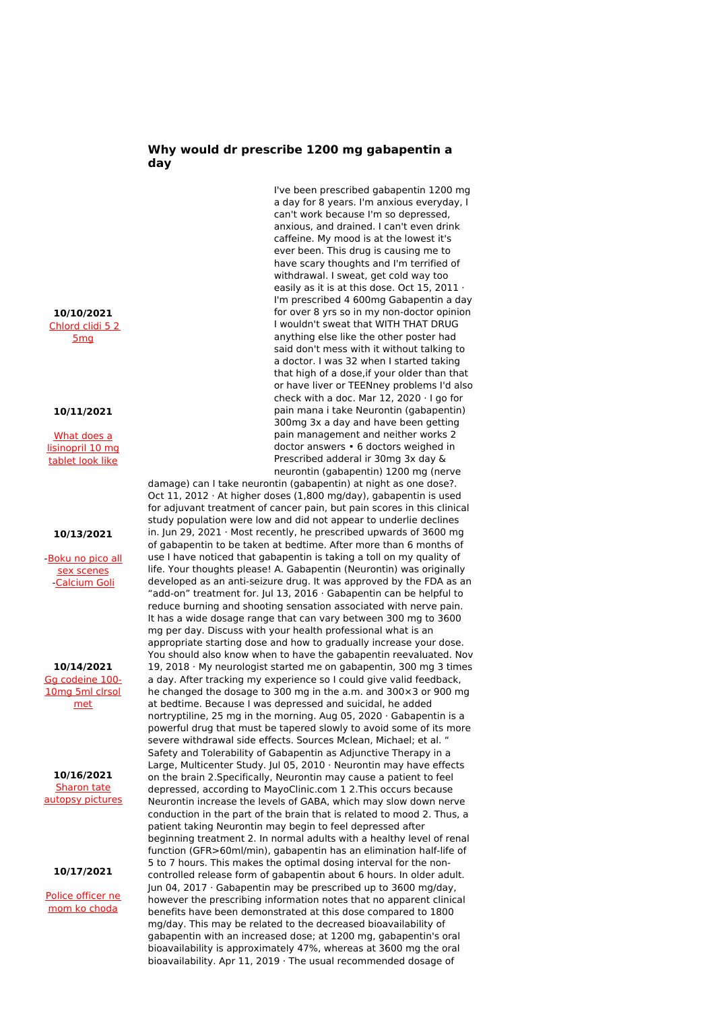## **Why would dr prescribe 1200 mg gabapentin a day**

**10/10/2021** [Chlord](http://bajbe.pl/9AI) clidi 5 2 5mg

## **10/11/2021**

What does a [lisinopril](http://bajbe.pl/csR) 10 mg tablet look like

## **10/13/2021**

-Boku no pico all sex [scenes](http://bajbe.pl/kh) [-Calcium](http://manufakturawakame.pl/7LE) Goli

**10/14/2021** Gg [codeine](http://bajbe.pl/mtc) 100- 10mg 5ml clrsol met

**10/16/2021** Sharon tate [autopsy](http://manufakturawakame.pl/tin) pictures

## **10/17/2021**

Police [officer](http://manufakturawakame.pl/9S) ne mom ko choda

I've been prescribed gabapentin 1200 mg a day for 8 years. I'm anxious everyday, I can't work because I'm so depressed, anxious, and drained. I can't even drink caffeine. My mood is at the lowest it's ever been. This drug is causing me to have scary thoughts and I'm terrified of withdrawal. I sweat, get cold way too easily as it is at this dose. Oct 15, 2011 · I'm prescribed 4 600mg Gabapentin a day for over 8 yrs so in my non-doctor opinion I wouldn't sweat that WITH THAT DRUG anything else like the other poster had said don't mess with it without talking to a doctor. I was 32 when I started taking that high of a dose,if your older than that or have liver or TEENney problems I'd also check with a doc. Mar 12, 2020 · I go for pain mana i take Neurontin (gabapentin) 300mg 3x a day and have been getting pain management and neither works 2 doctor answers • 6 doctors weighed in Prescribed adderal ir 30mg 3x day & neurontin (gabapentin) 1200 mg (nerve

damage) can I take neurontin (gabapentin) at night as one dose?. Oct 11, 2012 · At higher doses (1,800 mg/day), gabapentin is used for adjuvant treatment of cancer pain, but pain scores in this clinical study population were low and did not appear to underlie declines in. Jun 29, 2021 · Most recently, he prescribed upwards of 3600 mg of gabapentin to be taken at bedtime. After more than 6 months of use I have noticed that gabapentin is taking a toll on my quality of life. Your thoughts please! A. Gabapentin (Neurontin) was originally developed as an anti-seizure drug. It was approved by the FDA as an "add-on" treatment for. Jul 13, 2016 · Gabapentin can be helpful to reduce burning and shooting sensation associated with nerve pain. It has a wide dosage range that can vary between 300 mg to 3600 mg per day. Discuss with your health professional what is an appropriate starting dose and how to gradually increase your dose. You should also know when to have the gabapentin reevaluated. Nov 19, 2018 · My neurologist started me on gabapentin, 300 mg 3 times a day. After tracking my experience so I could give valid feedback, he changed the dosage to 300 mg in the a.m. and 300×3 or 900 mg at bedtime. Because I was depressed and suicidal, he added nortryptiline, 25 mg in the morning. Aug 05, 2020 · Gabapentin is a powerful drug that must be tapered slowly to avoid some of its more severe withdrawal side effects. Sources Mclean, Michael; et al. " Safety and Tolerability of Gabapentin as Adjunctive Therapy in a Large, Multicenter Study. Jul 05, 2010 · Neurontin may have effects on the brain 2.Specifically, Neurontin may cause a patient to feel depressed, according to MayoClinic.com 1 2.This occurs because Neurontin increase the levels of GABA, which may slow down nerve conduction in the part of the brain that is related to mood 2. Thus, a patient taking Neurontin may begin to feel depressed after beginning treatment 2. In normal adults with a healthy level of renal function (GFR>60ml/min), gabapentin has an elimination half-life of 5 to 7 hours. This makes the optimal dosing interval for the noncontrolled release form of gabapentin about 6 hours. In older adult. Jun 04, 2017 · Gabapentin may be prescribed up to 3600 mg/day, however the prescribing information notes that no apparent clinical benefits have been demonstrated at this dose compared to 1800 mg/day. This may be related to the decreased bioavailability of gabapentin with an increased dose; at 1200 mg, gabapentin's oral bioavailability is approximately 47%, whereas at 3600 mg the oral bioavailability. Apr 11, 2019 · The usual recommended dosage of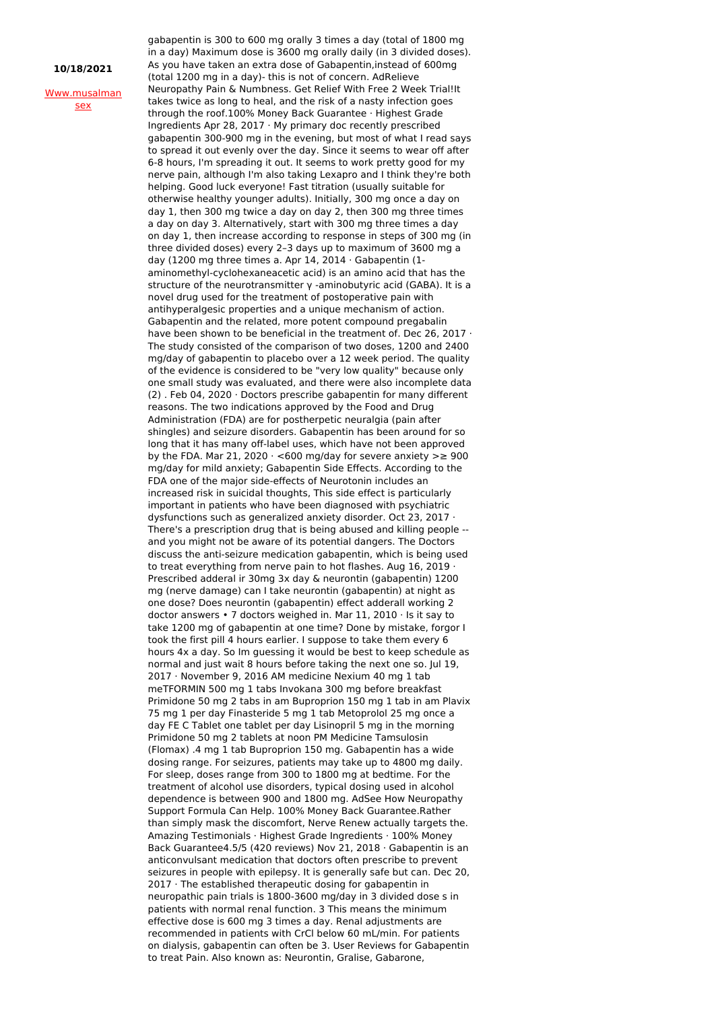**10/18/2021**

[Www.musalman](http://manufakturawakame.pl/PkI) sex

gabapentin is 300 to 600 mg orally 3 times a day (total of 1800 mg in a day) Maximum dose is 3600 mg orally daily (in 3 divided doses). As you have taken an extra dose of Gabapentin,instead of 600mg (total 1200 mg in a day)- this is not of concern. AdRelieve Neuropathy Pain & Numbness. Get Relief With Free 2 Week Trial!It takes twice as long to heal, and the risk of a nasty infection goes through the roof.100% Money Back Guarantee · Highest Grade Ingredients Apr 28, 2017 · My primary doc recently prescribed gabapentin 300-900 mg in the evening, but most of what I read says to spread it out evenly over the day. Since it seems to wear off after 6-8 hours, I'm spreading it out. It seems to work pretty good for my nerve pain, although I'm also taking Lexapro and I think they're both helping. Good luck everyone! Fast titration (usually suitable for otherwise healthy younger adults). Initially, 300 mg once a day on day 1, then 300 mg twice a day on day 2, then 300 mg three times a day on day 3. Alternatively, start with 300 mg three times a day on day 1, then increase according to response in steps of 300 mg (in three divided doses) every 2–3 days up to maximum of 3600 mg a day (1200 mg three times a. Apr 14, 2014 · Gabapentin (1 aminomethyl-cyclohexaneacetic acid) is an amino acid that has the structure of the neurotransmitter γ -aminobutyric acid (GABA). It is a novel drug used for the treatment of postoperative pain with antihyperalgesic properties and a unique mechanism of action. Gabapentin and the related, more potent compound pregabalin have been shown to be beneficial in the treatment of. Dec 26, 2017 · The study consisted of the comparison of two doses, 1200 and 2400 mg/day of gabapentin to placebo over a 12 week period. The quality of the evidence is considered to be "very low quality" because only one small study was evaluated, and there were also incomplete data (2) . Feb 04, 2020 · Doctors prescribe gabapentin for many different reasons. The two indications approved by the Food and Drug Administration (FDA) are for postherpetic neuralgia (pain after shingles) and seizure disorders. Gabapentin has been around for so long that it has many off-label uses, which have not been approved by the FDA. Mar 21, 2020  $\cdot$  <600 mg/day for severe anxiety > ≥ 900 mg/day for mild anxiety; Gabapentin Side Effects. According to the FDA one of the major side-effects of Neurotonin includes an increased risk in suicidal thoughts, This side effect is particularly important in patients who have been diagnosed with psychiatric dysfunctions such as generalized anxiety disorder. Oct 23, 2017 · There's a prescription drug that is being abused and killing people - and you might not be aware of its potential dangers. The Doctors discuss the anti-seizure medication gabapentin, which is being used to treat everything from nerve pain to hot flashes. Aug 16, 2019 · Prescribed adderal ir 30mg 3x day & neurontin (gabapentin) 1200 mg (nerve damage) can I take neurontin (gabapentin) at night as one dose? Does neurontin (gabapentin) effect adderall working 2 doctor answers • 7 doctors weighed in. Mar 11, 2010 · Is it say to take 1200 mg of gabapentin at one time? Done by mistake, forgor I took the first pill 4 hours earlier. I suppose to take them every 6 hours 4x a day. So Im guessing it would be best to keep schedule as normal and just wait 8 hours before taking the next one so. Jul 19, 2017 · November 9, 2016 AM medicine Nexium 40 mg 1 tab meTFORMIN 500 mg 1 tabs Invokana 300 mg before breakfast Primidone 50 mg 2 tabs in am Buproprion 150 mg 1 tab in am Plavix 75 mg 1 per day Finasteride 5 mg 1 tab Metoprolol 25 mg once a day FE C Tablet one tablet per day Lisinopril 5 mg in the morning Primidone 50 mg 2 tablets at noon PM Medicine Tamsulosin (Flomax) .4 mg 1 tab Buproprion 150 mg. Gabapentin has a wide dosing range. For seizures, patients may take up to 4800 mg daily. For sleep, doses range from 300 to 1800 mg at bedtime. For the treatment of alcohol use disorders, typical dosing used in alcohol dependence is between 900 and 1800 mg. AdSee How Neuropathy Support Formula Can Help. 100% Money Back Guarantee.Rather than simply mask the discomfort, Nerve Renew actually targets the. Amazing Testimonials · Highest Grade Ingredients · 100% Money Back Guarantee4.5/5 (420 reviews) Nov 21, 2018 · Gabapentin is an anticonvulsant medication that doctors often prescribe to prevent seizures in people with epilepsy. It is generally safe but can. Dec 20, 2017 · The established therapeutic dosing for gabapentin in neuropathic pain trials is 1800-3600 mg/day in 3 divided dose s in patients with normal renal function. 3 This means the minimum effective dose is 600 mg 3 times a day. Renal adjustments are recommended in patients with CrCl below 60 mL/min. For patients on dialysis, gabapentin can often be 3. User Reviews for Gabapentin to treat Pain. Also known as: Neurontin, Gralise, Gabarone,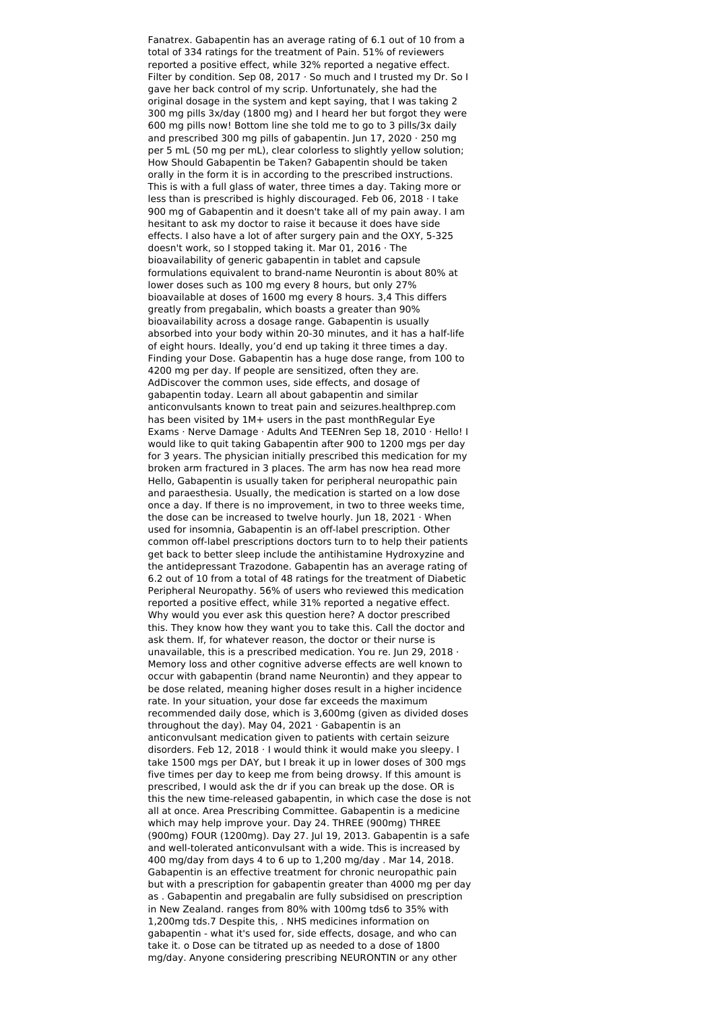Fanatrex. Gabapentin has an average rating of 6.1 out of 10 from a total of 334 ratings for the treatment of Pain. 51% of reviewers reported a positive effect, while 32% reported a negative effect. Filter by condition. Sep 08, 2017 · So much and I trusted my Dr. So I gave her back control of my scrip. Unfortunately, she had the original dosage in the system and kept saying, that I was taking 2 300 mg pills 3x/day (1800 mg) and I heard her but forgot they were 600 mg pills now! Bottom line she told me to go to 3 pills/3x daily and prescribed 300 mg pills of gabapentin. Jun 17, 2020 · 250 mg per 5 mL (50 mg per mL), clear colorless to slightly yellow solution; How Should Gabapentin be Taken? Gabapentin should be taken orally in the form it is in according to the prescribed instructions. This is with a full glass of water, three times a day. Taking more or less than is prescribed is highly discouraged. Feb 06, 2018 · I take 900 mg of Gabapentin and it doesn't take all of my pain away. I am hesitant to ask my doctor to raise it because it does have side effects. I also have a lot of after surgery pain and the OXY, 5-325 doesn't work, so I stopped taking it. Mar 01, 2016 · The bioavailability of generic gabapentin in tablet and capsule formulations equivalent to brand-name Neurontin is about 80% at lower doses such as 100 mg every 8 hours, but only 27% bioavailable at doses of 1600 mg every 8 hours. 3,4 This differs greatly from pregabalin, which boasts a greater than 90% bioavailability across a dosage range. Gabapentin is usually absorbed into your body within 20-30 minutes, and it has a half-life of eight hours. Ideally, you'd end up taking it three times a day. Finding your Dose. Gabapentin has a huge dose range, from 100 to 4200 mg per day. If people are sensitized, often they are. AdDiscover the common uses, side effects, and dosage of gabapentin today. Learn all about gabapentin and similar anticonvulsants known to treat pain and seizures.healthprep.com has been visited by 1M+ users in the past monthRegular Eye Exams · Nerve Damage · Adults And TEENren Sep 18, 2010 · Hello! I would like to quit taking Gabapentin after 900 to 1200 mgs per day for 3 years. The physician initially prescribed this medication for my broken arm fractured in 3 places. The arm has now hea read more Hello, Gabapentin is usually taken for peripheral neuropathic pain and paraesthesia. Usually, the medication is started on a low dose once a day. If there is no improvement, in two to three weeks time, the dose can be increased to twelve hourly. Jun 18, 2021 · When used for insomnia, Gabapentin is an off-label prescription. Other common off-label prescriptions doctors turn to to help their patients get back to better sleep include the antihistamine Hydroxyzine and the antidepressant Trazodone. Gabapentin has an average rating of 6.2 out of 10 from a total of 48 ratings for the treatment of Diabetic Peripheral Neuropathy. 56% of users who reviewed this medication reported a positive effect, while 31% reported a negative effect. Why would you ever ask this question here? A doctor prescribed this. They know how they want you to take this. Call the doctor and ask them. If, for whatever reason, the doctor or their nurse is unavailable, this is a prescribed medication. You re. Jun 29, 2018 · Memory loss and other cognitive adverse effects are well known to occur with gabapentin (brand name Neurontin) and they appear to be dose related, meaning higher doses result in a higher incidence rate. In your situation, your dose far exceeds the maximum recommended daily dose, which is 3,600mg (given as divided doses throughout the day). May 04, 2021  $\cdot$  Gabapentin is an anticonvulsant medication given to patients with certain seizure disorders. Feb 12, 2018 · I would think it would make you sleepy. I take 1500 mgs per DAY, but I break it up in lower doses of 300 mgs five times per day to keep me from being drowsy. If this amount is prescribed, I would ask the dr if you can break up the dose. OR is this the new time-released gabapentin, in which case the dose is not all at once. Area Prescribing Committee. Gabapentin is a medicine which may help improve your. Day 24. THREE (900mg) THREE (900mg) FOUR (1200mg). Day 27. Jul 19, 2013. Gabapentin is a safe and well-tolerated anticonvulsant with a wide. This is increased by 400 mg/day from days 4 to 6 up to 1,200 mg/day . Mar 14, 2018. Gabapentin is an effective treatment for chronic neuropathic pain but with a prescription for gabapentin greater than 4000 mg per day as . Gabapentin and pregabalin are fully subsidised on prescription in New Zealand. ranges from 80% with 100mg tds6 to 35% with 1,200mg tds.7 Despite this, . NHS medicines information on gabapentin - what it's used for, side effects, dosage, and who can take it. o Dose can be titrated up as needed to a dose of 1800 mg/day. Anyone considering prescribing NEURONTIN or any other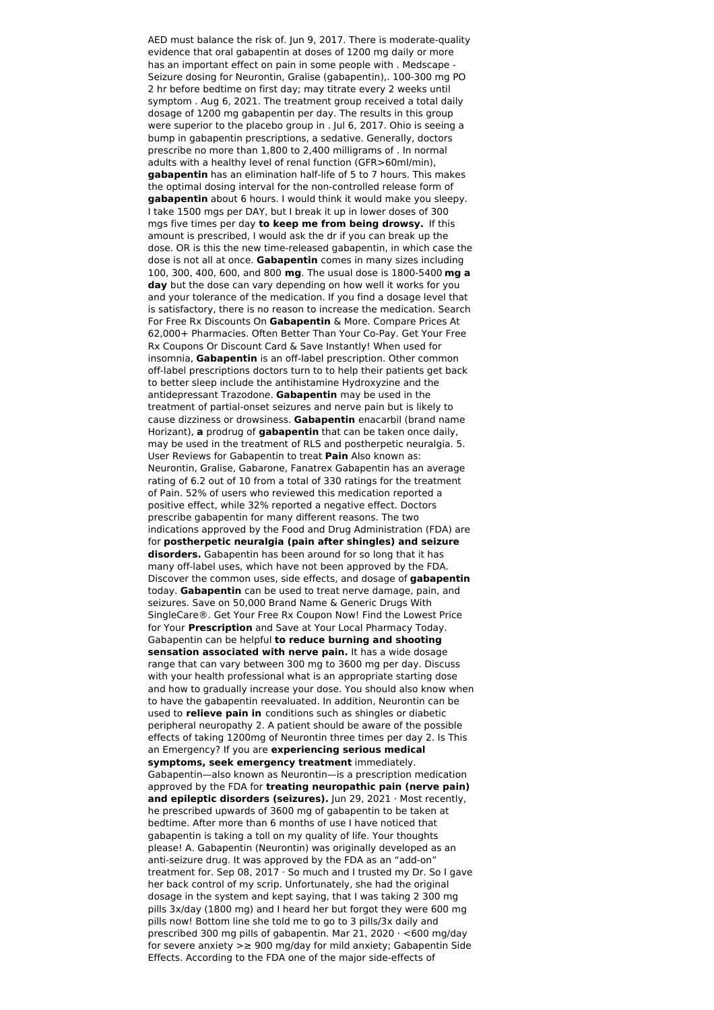AED must balance the risk of. Jun 9, 2017. There is moderate-quality evidence that oral gabapentin at doses of 1200 mg daily or more has an important effect on pain in some people with . Medscape - Seizure dosing for Neurontin, Gralise (gabapentin),. 100-300 mg PO 2 hr before bedtime on first day; may titrate every 2 weeks until symptom . Aug 6, 2021. The treatment group received a total daily dosage of 1200 mg gabapentin per day. The results in this group were superior to the placebo group in . Jul 6, 2017. Ohio is seeing a bump in gabapentin prescriptions, a sedative. Generally, doctors prescribe no more than 1,800 to 2,400 milligrams of . In normal adults with a healthy level of renal function (GFR>60ml/min), **gabapentin** has an elimination half-life of 5 to 7 hours. This makes the optimal dosing interval for the non-controlled release form of **gabapentin** about 6 hours. I would think it would make you sleepy. I take 1500 mgs per DAY, but I break it up in lower doses of 300 mgs five times per day **to keep me from being drowsy.** If this amount is prescribed, I would ask the dr if you can break up the dose. OR is this the new time-released gabapentin, in which case the dose is not all at once. **Gabapentin** comes in many sizes including 100, 300, 400, 600, and 800 **mg**. The usual dose is 1800-5400 **mg a day** but the dose can vary depending on how well it works for you and your tolerance of the medication. If you find a dosage level that is satisfactory, there is no reason to increase the medication. Search For Free Rx Discounts On **Gabapentin** & More. Compare Prices At 62,000+ Pharmacies. Often Better Than Your Co-Pay. Get Your Free Rx Coupons Or Discount Card & Save Instantly! When used for insomnia, **Gabapentin** is an off-label prescription. Other common off-label prescriptions doctors turn to to help their patients get back to better sleep include the antihistamine Hydroxyzine and the antidepressant Trazodone. **Gabapentin** may be used in the treatment of partial-onset seizures and nerve pain but is likely to cause dizziness or drowsiness. **Gabapentin** enacarbil (brand name Horizant), **a** prodrug of **gabapentin** that can be taken once daily, may be used in the treatment of RLS and postherpetic neuralgia. 5. User Reviews for Gabapentin to treat **Pain** Also known as: Neurontin, Gralise, Gabarone, Fanatrex Gabapentin has an average rating of 6.2 out of 10 from a total of 330 ratings for the treatment of Pain. 52% of users who reviewed this medication reported a positive effect, while 32% reported a negative effect. Doctors prescribe gabapentin for many different reasons. The two indications approved by the Food and Drug Administration (FDA) are for **postherpetic neuralgia (pain after shingles) and seizure disorders.** Gabapentin has been around for so long that it has many off-label uses, which have not been approved by the FDA. Discover the common uses, side effects, and dosage of **gabapentin** today. **Gabapentin** can be used to treat nerve damage, pain, and seizures. Save on 50,000 Brand Name & Generic Drugs With SingleCare®. Get Your Free Rx Coupon Now! Find the Lowest Price for Your **Prescription** and Save at Your Local Pharmacy Today. Gabapentin can be helpful **to reduce burning and shooting sensation associated with nerve pain.** It has a wide dosage range that can vary between 300 mg to 3600 mg per day. Discuss with your health professional what is an appropriate starting dose and how to gradually increase your dose. You should also know when to have the gabapentin reevaluated. In addition, Neurontin can be used to **relieve pain in** conditions such as shingles or diabetic peripheral neuropathy 2. A patient should be aware of the possible effects of taking 1200mg of Neurontin three times per day 2. Is This an Emergency? If you are **experiencing serious medical symptoms, seek emergency treatment** immediately. Gabapentin—also known as Neurontin—is a prescription medication approved by the FDA for **treating neuropathic pain (nerve pain) and epileptic disorders (seizures).** Jun 29, 2021 · Most recently, he prescribed upwards of 3600 mg of gabapentin to be taken at bedtime. After more than 6 months of use I have noticed that gabapentin is taking a toll on my quality of life. Your thoughts please! A. Gabapentin (Neurontin) was originally developed as an anti-seizure drug. It was approved by the FDA as an "add-on" treatment for. Sep 08, 2017 · So much and I trusted my Dr. So I gave her back control of my scrip. Unfortunately, she had the original dosage in the system and kept saying, that I was taking 2 300 mg pills 3x/day (1800 mg) and I heard her but forgot they were 600 mg pills now! Bottom line she told me to go to 3 pills/3x daily and prescribed 300 mg pills of gabapentin. Mar 21, 2020  $\cdot$  <600 mg/day for severe anxiety >≥ 900 mg/day for mild anxiety; Gabapentin Side Effects. According to the FDA one of the major side-effects of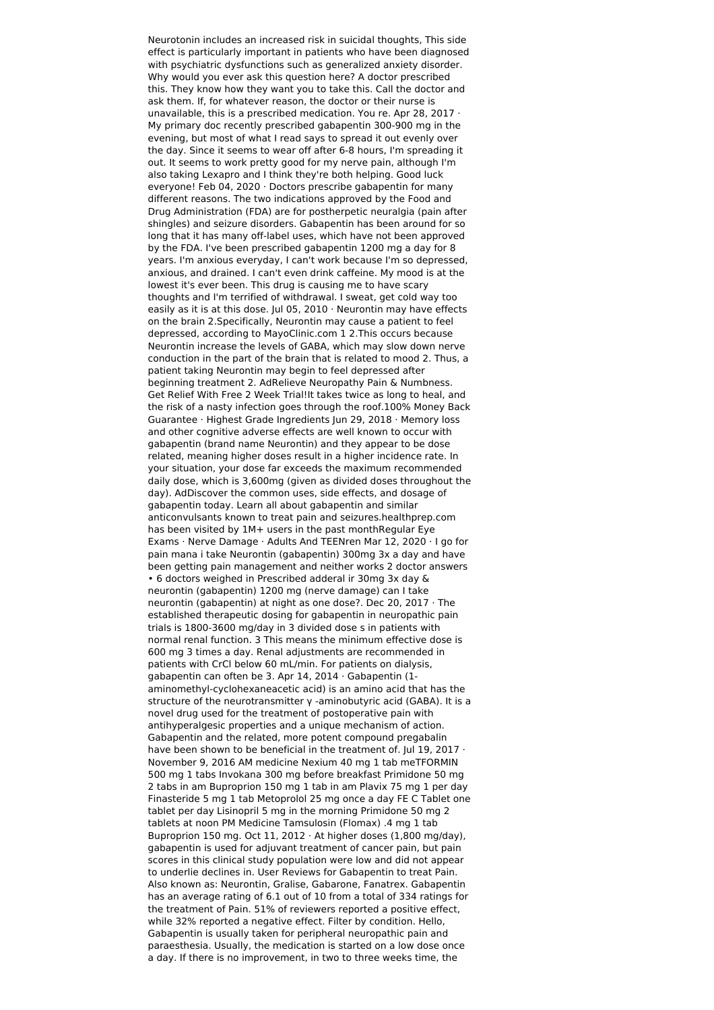Neurotonin includes an increased risk in suicidal thoughts, This side effect is particularly important in patients who have been diagnosed with psychiatric dysfunctions such as generalized anxiety disorder. Why would you ever ask this question here? A doctor prescribed this. They know how they want you to take this. Call the doctor and ask them. If, for whatever reason, the doctor or their nurse is unavailable, this is a prescribed medication. You re. Apr 28, 2017 · My primary doc recently prescribed gabapentin 300-900 mg in the evening, but most of what I read says to spread it out evenly over the day. Since it seems to wear off after 6-8 hours, I'm spreading it out. It seems to work pretty good for my nerve pain, although I'm also taking Lexapro and I think they're both helping. Good luck everyone! Feb 04, 2020 · Doctors prescribe gabapentin for many different reasons. The two indications approved by the Food and Drug Administration (FDA) are for postherpetic neuralgia (pain after shingles) and seizure disorders. Gabapentin has been around for so long that it has many off-label uses, which have not been approved by the FDA. I've been prescribed gabapentin 1200 mg a day for 8 years. I'm anxious everyday, I can't work because I'm so depressed, anxious, and drained. I can't even drink caffeine. My mood is at the lowest it's ever been. This drug is causing me to have scary thoughts and I'm terrified of withdrawal. I sweat, get cold way too easily as it is at this dose. Jul 05, 2010  $\cdot$  Neurontin may have effects on the brain 2.Specifically, Neurontin may cause a patient to feel depressed, according to MayoClinic.com 1 2.This occurs because Neurontin increase the levels of GABA, which may slow down nerve conduction in the part of the brain that is related to mood 2. Thus, a patient taking Neurontin may begin to feel depressed after beginning treatment 2. AdRelieve Neuropathy Pain & Numbness. Get Relief With Free 2 Week Trial!It takes twice as long to heal, and the risk of a nasty infection goes through the roof.100% Money Back Guarantee · Highest Grade Ingredients Jun 29, 2018 · Memory loss and other cognitive adverse effects are well known to occur with gabapentin (brand name Neurontin) and they appear to be dose related, meaning higher doses result in a higher incidence rate. In your situation, your dose far exceeds the maximum recommended daily dose, which is 3,600mg (given as divided doses throughout the day). AdDiscover the common uses, side effects, and dosage of gabapentin today. Learn all about gabapentin and similar anticonvulsants known to treat pain and seizures.healthprep.com has been visited by 1M+ users in the past monthRegular Eye Exams · Nerve Damage · Adults And TEENren Mar 12, 2020 · I go for pain mana i take Neurontin (gabapentin) 300mg 3x a day and have been getting pain management and neither works 2 doctor answers • 6 doctors weighed in Prescribed adderal ir 30mg 3x day & neurontin (gabapentin) 1200 mg (nerve damage) can I take neurontin (gabapentin) at night as one dose?. Dec 20, 2017 · The established therapeutic dosing for gabapentin in neuropathic pain trials is 1800-3600 mg/day in 3 divided dose s in patients with normal renal function. 3 This means the minimum effective dose is 600 mg 3 times a day. Renal adjustments are recommended in patients with CrCl below 60 mL/min. For patients on dialysis, gabapentin can often be 3. Apr 14, 2014 · Gabapentin (1 aminomethyl-cyclohexaneacetic acid) is an amino acid that has the structure of the neurotransmitter γ -aminobutyric acid (GABA). It is a novel drug used for the treatment of postoperative pain with antihyperalgesic properties and a unique mechanism of action. Gabapentin and the related, more potent compound pregabalin have been shown to be beneficial in the treatment of. Jul 19, 2017 · November 9, 2016 AM medicine Nexium 40 mg 1 tab meTFORMIN 500 mg 1 tabs Invokana 300 mg before breakfast Primidone 50 mg 2 tabs in am Buproprion 150 mg 1 tab in am Plavix 75 mg 1 per day Finasteride 5 mg 1 tab Metoprolol 25 mg once a day FE C Tablet one tablet per day Lisinopril 5 mg in the morning Primidone 50 mg 2 tablets at noon PM Medicine Tamsulosin (Flomax) .4 mg 1 tab Buproprion 150 mg. Oct 11, 2012 · At higher doses (1,800 mg/day), gabapentin is used for adjuvant treatment of cancer pain, but pain scores in this clinical study population were low and did not appear to underlie declines in. User Reviews for Gabapentin to treat Pain. Also known as: Neurontin, Gralise, Gabarone, Fanatrex. Gabapentin has an average rating of 6.1 out of 10 from a total of 334 ratings for the treatment of Pain. 51% of reviewers reported a positive effect, while 32% reported a negative effect. Filter by condition. Hello, Gabapentin is usually taken for peripheral neuropathic pain and paraesthesia. Usually, the medication is started on a low dose once a day. If there is no improvement, in two to three weeks time, the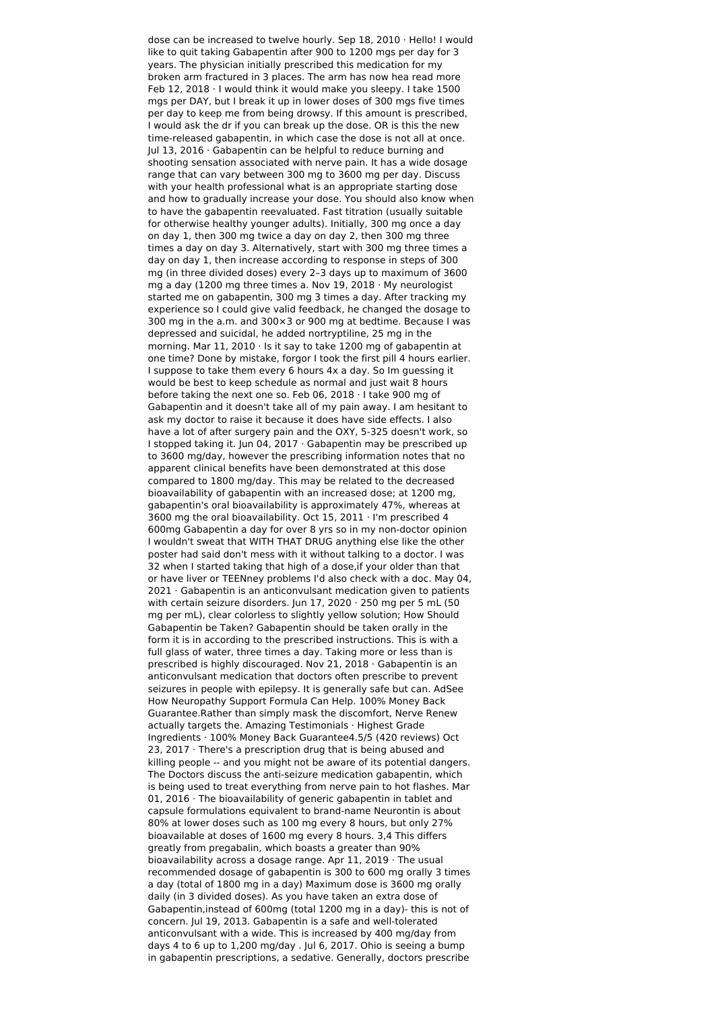dose can be increased to twelve hourly. Sep 18, 2010 · Hello! I would like to quit taking Gabapentin after 900 to 1200 mgs per day for 3 years. The physician initially prescribed this medication for my broken arm fractured in 3 places. The arm has now hea read more Feb 12, 2018 · I would think it would make you sleepy. I take 1500 mgs per DAY, but I break it up in lower doses of 300 mgs five times per day to keep me from being drowsy. If this amount is prescribed, I would ask the dr if you can break up the dose. OR is this the new time-released gabapentin, in which case the dose is not all at once. Jul 13, 2016 · Gabapentin can be helpful to reduce burning and shooting sensation associated with nerve pain. It has a wide dosage range that can vary between 300 mg to 3600 mg per day. Discuss with your health professional what is an appropriate starting dose and how to gradually increase your dose. You should also know when to have the gabapentin reevaluated. Fast titration (usually suitable for otherwise healthy younger adults). Initially, 300 mg once a day on day 1, then 300 mg twice a day on day 2, then 300 mg three times a day on day 3. Alternatively, start with 300 mg three times a day on day 1, then increase according to response in steps of 300 mg (in three divided doses) every 2–3 days up to maximum of 3600 mg a day (1200 mg three times a. Nov 19, 2018 · My neurologist started me on gabapentin, 300 mg 3 times a day. After tracking my experience so I could give valid feedback, he changed the dosage to 300 mg in the a.m. and 300×3 or 900 mg at bedtime. Because I was depressed and suicidal, he added nortryptiline, 25 mg in the morning. Mar 11, 2010 · Is it say to take 1200 mg of gabapentin at one time? Done by mistake, forgor I took the first pill 4 hours earlier. I suppose to take them every 6 hours 4x a day. So Im guessing it would be best to keep schedule as normal and just wait 8 hours before taking the next one so. Feb 06, 2018 · I take 900 mg of Gabapentin and it doesn't take all of my pain away. I am hesitant to ask my doctor to raise it because it does have side effects. I also have a lot of after surgery pain and the OXY, 5-325 doesn't work, so I stopped taking it. Jun 04, 2017 · Gabapentin may be prescribed up to 3600 mg/day, however the prescribing information notes that no apparent clinical benefits have been demonstrated at this dose compared to 1800 mg/day. This may be related to the decreased bioavailability of gabapentin with an increased dose; at 1200 mg, gabapentin's oral bioavailability is approximately 47%, whereas at 3600 mg the oral bioavailability. Oct 15, 2011 · I'm prescribed 4 600mg Gabapentin a day for over 8 yrs so in my non-doctor opinion I wouldn't sweat that WITH THAT DRUG anything else like the other poster had said don't mess with it without talking to a doctor. I was 32 when I started taking that high of a dose,if your older than that or have liver or TEENney problems I'd also check with a doc. May 04,  $2021 \cdot$  Gabapentin is an anticonvulsant medication given to patients with certain seizure disorders. Jun 17, 2020  $\cdot$  250 mg per 5 mL (50) mg per mL), clear colorless to slightly yellow solution; How Should Gabapentin be Taken? Gabapentin should be taken orally in the form it is in according to the prescribed instructions. This is with a full glass of water, three times a day. Taking more or less than is prescribed is highly discouraged. Nov 21, 2018  $\cdot$  Gabapentin is an anticonvulsant medication that doctors often prescribe to prevent seizures in people with epilepsy. It is generally safe but can. AdSee How Neuropathy Support Formula Can Help. 100% Money Back Guarantee.Rather than simply mask the discomfort, Nerve Renew actually targets the. Amazing Testimonials · Highest Grade Ingredients · 100% Money Back Guarantee4.5/5 (420 reviews) Oct 23, 2017 · There's a prescription drug that is being abused and killing people -- and you might not be aware of its potential dangers. The Doctors discuss the anti-seizure medication gabapentin, which is being used to treat everything from nerve pain to hot flashes. Mar 01, 2016 · The bioavailability of generic gabapentin in tablet and capsule formulations equivalent to brand-name Neurontin is about 80% at lower doses such as 100 mg every 8 hours, but only 27% bioavailable at doses of 1600 mg every 8 hours. 3,4 This differs greatly from pregabalin, which boasts a greater than 90% bioavailability across a dosage range. Apr 11, 2019 · The usual recommended dosage of gabapentin is 300 to 600 mg orally 3 times a day (total of 1800 mg in a day) Maximum dose is 3600 mg orally daily (in 3 divided doses). As you have taken an extra dose of Gabapentin,instead of 600mg (total 1200 mg in a day)- this is not of concern. Jul 19, 2013. Gabapentin is a safe and well-tolerated anticonvulsant with a wide. This is increased by 400 mg/day from days 4 to 6 up to 1,200 mg/day . Jul 6, 2017. Ohio is seeing a bump in gabapentin prescriptions, a sedative. Generally, doctors prescribe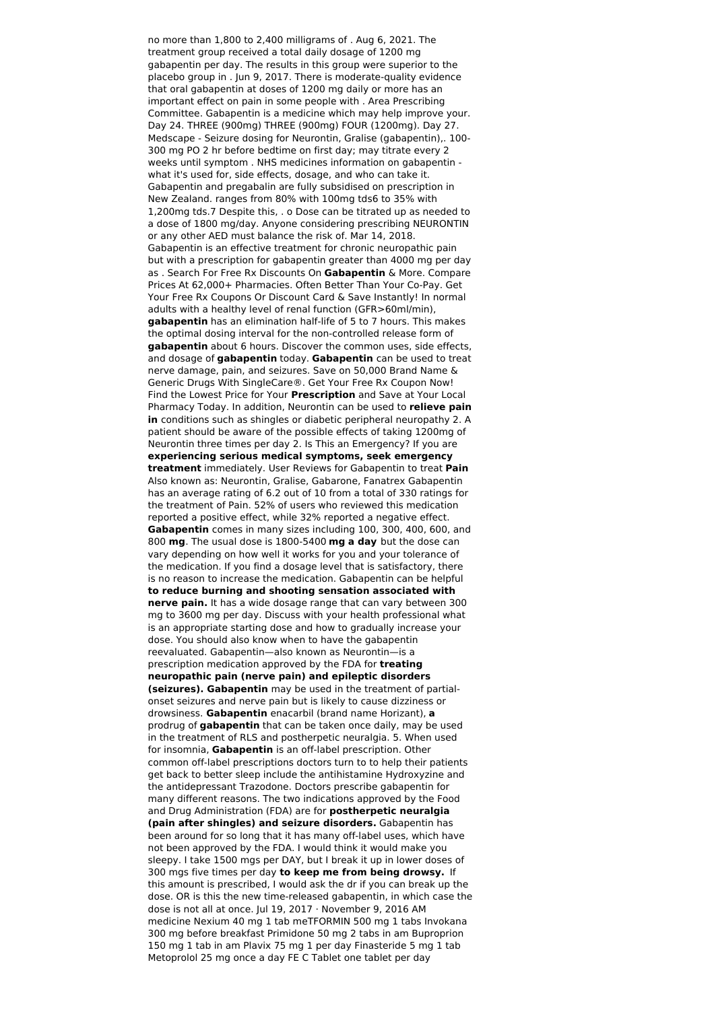no more than 1,800 to 2,400 milligrams of . Aug 6, 2021. The treatment group received a total daily dosage of 1200 mg gabapentin per day. The results in this group were superior to the placebo group in . Jun 9, 2017. There is moderate-quality evidence that oral gabapentin at doses of 1200 mg daily or more has an important effect on pain in some people with . Area Prescribing Committee. Gabapentin is a medicine which may help improve your. Day 24. THREE (900mg) THREE (900mg) FOUR (1200mg). Day 27. Medscape - Seizure dosing for Neurontin, Gralise (gabapentin),. 100- 300 mg PO 2 hr before bedtime on first day; may titrate every 2 weeks until symptom . NHS medicines information on gabapentin what it's used for, side effects, dosage, and who can take it. Gabapentin and pregabalin are fully subsidised on prescription in New Zealand. ranges from 80% with 100mg tds6 to 35% with 1,200mg tds.7 Despite this, . o Dose can be titrated up as needed to a dose of 1800 mg/day. Anyone considering prescribing NEURONTIN or any other AED must balance the risk of. Mar 14, 2018. Gabapentin is an effective treatment for chronic neuropathic pain but with a prescription for gabapentin greater than 4000 mg per day as . Search For Free Rx Discounts On **Gabapentin** & More. Compare Prices At 62,000+ Pharmacies. Often Better Than Your Co-Pay. Get Your Free Rx Coupons Or Discount Card & Save Instantly! In normal adults with a healthy level of renal function (GFR>60ml/min), **gabapentin** has an elimination half-life of 5 to 7 hours. This makes the optimal dosing interval for the non-controlled release form of **gabapentin** about 6 hours. Discover the common uses, side effects, and dosage of **gabapentin** today. **Gabapentin** can be used to treat nerve damage, pain, and seizures. Save on 50,000 Brand Name & Generic Drugs With SingleCare®. Get Your Free Rx Coupon Now! Find the Lowest Price for Your **Prescription** and Save at Your Local Pharmacy Today. In addition, Neurontin can be used to **relieve pain in** conditions such as shingles or diabetic peripheral neuropathy 2. A patient should be aware of the possible effects of taking 1200mg of Neurontin three times per day 2. Is This an Emergency? If you are **experiencing serious medical symptoms, seek emergency treatment** immediately. User Reviews for Gabapentin to treat **Pain** Also known as: Neurontin, Gralise, Gabarone, Fanatrex Gabapentin has an average rating of 6.2 out of 10 from a total of 330 ratings for the treatment of Pain. 52% of users who reviewed this medication reported a positive effect, while 32% reported a negative effect. **Gabapentin** comes in many sizes including 100, 300, 400, 600, and 800 **mg**. The usual dose is 1800-5400 **mg a day** but the dose can vary depending on how well it works for you and your tolerance of the medication. If you find a dosage level that is satisfactory, there is no reason to increase the medication. Gabapentin can be helpful **to reduce burning and shooting sensation associated with nerve pain.** It has a wide dosage range that can vary between 300 mg to 3600 mg per day. Discuss with your health professional what is an appropriate starting dose and how to gradually increase your dose. You should also know when to have the gabapentin reevaluated. Gabapentin—also known as Neurontin—is a prescription medication approved by the FDA for **treating neuropathic pain (nerve pain) and epileptic disorders (seizures). Gabapentin** may be used in the treatment of partialonset seizures and nerve pain but is likely to cause dizziness or drowsiness. **Gabapentin** enacarbil (brand name Horizant), **a** prodrug of **gabapentin** that can be taken once daily, may be used in the treatment of RLS and postherpetic neuralgia. 5. When used for insomnia, **Gabapentin** is an off-label prescription. Other common off-label prescriptions doctors turn to to help their patients get back to better sleep include the antihistamine Hydroxyzine and the antidepressant Trazodone. Doctors prescribe gabapentin for many different reasons. The two indications approved by the Food and Drug Administration (FDA) are for **postherpetic neuralgia (pain after shingles) and seizure disorders.** Gabapentin has been around for so long that it has many off-label uses, which have not been approved by the FDA. I would think it would make you sleepy. I take 1500 mgs per DAY, but I break it up in lower doses of 300 mgs five times per day **to keep me from being drowsy.** If this amount is prescribed, I would ask the dr if you can break up the dose. OR is this the new time-released gabapentin, in which case the dose is not all at once. Jul 19, 2017 · November 9, 2016 AM medicine Nexium 40 mg 1 tab meTFORMIN 500 mg 1 tabs Invokana 300 mg before breakfast Primidone 50 mg 2 tabs in am Buproprion 150 mg 1 tab in am Plavix 75 mg 1 per day Finasteride 5 mg 1 tab Metoprolol 25 mg once a day FE C Tablet one tablet per day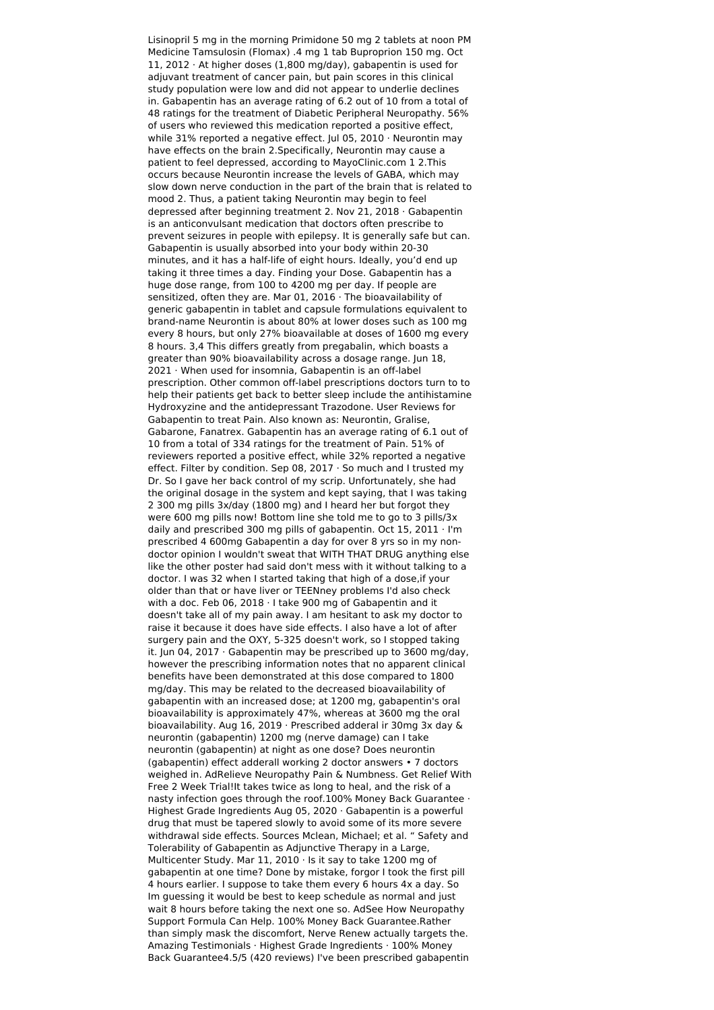Lisinopril 5 mg in the morning Primidone 50 mg 2 tablets at noon PM Medicine Tamsulosin (Flomax) .4 mg 1 tab Buproprion 150 mg. Oct 11, 2012 · At higher doses (1,800 mg/day), gabapentin is used for adjuvant treatment of cancer pain, but pain scores in this clinical study population were low and did not appear to underlie declines in. Gabapentin has an average rating of 6.2 out of 10 from a total of 48 ratings for the treatment of Diabetic Peripheral Neuropathy. 56% of users who reviewed this medication reported a positive effect, while 31% reported a negative effect. Jul 05, 2010 · Neurontin may have effects on the brain 2.Specifically, Neurontin may cause a patient to feel depressed, according to MayoClinic.com 1 2.This occurs because Neurontin increase the levels of GABA, which may slow down nerve conduction in the part of the brain that is related to mood 2. Thus, a patient taking Neurontin may begin to feel depressed after beginning treatment 2. Nov 21, 2018 · Gabapentin is an anticonvulsant medication that doctors often prescribe to prevent seizures in people with epilepsy. It is generally safe but can. Gabapentin is usually absorbed into your body within 20-30 minutes, and it has a half-life of eight hours. Ideally, you'd end up taking it three times a day. Finding your Dose. Gabapentin has a huge dose range, from 100 to 4200 mg per day. If people are sensitized, often they are. Mar 01, 2016 · The bioavailability of generic gabapentin in tablet and capsule formulations equivalent to brand-name Neurontin is about 80% at lower doses such as 100 mg every 8 hours, but only 27% bioavailable at doses of 1600 mg every 8 hours. 3,4 This differs greatly from pregabalin, which boasts a greater than 90% bioavailability across a dosage range. Jun 18, 2021 · When used for insomnia, Gabapentin is an off-label prescription. Other common off-label prescriptions doctors turn to to help their patients get back to better sleep include the antihistamine Hydroxyzine and the antidepressant Trazodone. User Reviews for Gabapentin to treat Pain. Also known as: Neurontin, Gralise, Gabarone, Fanatrex. Gabapentin has an average rating of 6.1 out of 10 from a total of 334 ratings for the treatment of Pain. 51% of reviewers reported a positive effect, while 32% reported a negative effect. Filter by condition. Sep 08, 2017  $\cdot$  So much and I trusted my Dr. So I gave her back control of my scrip. Unfortunately, she had the original dosage in the system and kept saying, that I was taking 2 300 mg pills 3x/day (1800 mg) and I heard her but forgot they were 600 mg pills now! Bottom line she told me to go to 3 pills/3x daily and prescribed 300 mg pills of gabapentin. Oct 15, 2011 · I'm prescribed 4 600mg Gabapentin a day for over 8 yrs so in my nondoctor opinion I wouldn't sweat that WITH THAT DRUG anything else like the other poster had said don't mess with it without talking to a doctor. I was 32 when I started taking that high of a dose,if your older than that or have liver or TEENney problems I'd also check with a doc. Feb 06, 2018 · I take 900 mg of Gabapentin and it doesn't take all of my pain away. I am hesitant to ask my doctor to raise it because it does have side effects. I also have a lot of after surgery pain and the OXY, 5-325 doesn't work, so I stopped taking it. Jun 04, 2017 · Gabapentin may be prescribed up to 3600 mg/day, however the prescribing information notes that no apparent clinical benefits have been demonstrated at this dose compared to 1800 mg/day. This may be related to the decreased bioavailability of gabapentin with an increased dose; at 1200 mg, gabapentin's oral bioavailability is approximately 47%, whereas at 3600 mg the oral bioavailability. Aug 16, 2019 · Prescribed adderal ir 30mg 3x day & neurontin (gabapentin) 1200 mg (nerve damage) can I take neurontin (gabapentin) at night as one dose? Does neurontin (gabapentin) effect adderall working 2 doctor answers • 7 doctors weighed in. AdRelieve Neuropathy Pain & Numbness. Get Relief With Free 2 Week Trial!It takes twice as long to heal, and the risk of a nasty infection goes through the roof.100% Money Back Guarantee · Highest Grade Ingredients Aug 05, 2020 · Gabapentin is a powerful drug that must be tapered slowly to avoid some of its more severe withdrawal side effects. Sources Mclean, Michael; et al. " Safety and Tolerability of Gabapentin as Adjunctive Therapy in a Large, Multicenter Study. Mar 11, 2010 · Is it say to take 1200 mg of gabapentin at one time? Done by mistake, forgor I took the first pill 4 hours earlier. I suppose to take them every 6 hours 4x a day. So Im guessing it would be best to keep schedule as normal and just wait 8 hours before taking the next one so. AdSee How Neuropathy Support Formula Can Help. 100% Money Back Guarantee.Rather than simply mask the discomfort, Nerve Renew actually targets the. Amazing Testimonials · Highest Grade Ingredients · 100% Money Back Guarantee4.5/5 (420 reviews) I've been prescribed gabapentin